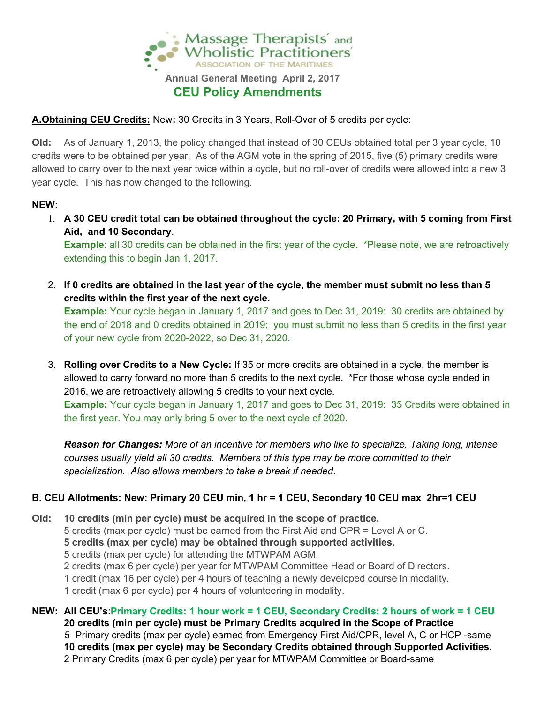

### **A.Obtaining CEU Credits:** New**:** 30 Credits in 3 Years, Roll-Over of 5 credits per cycle:

**Old:** As of January 1, 2013, the policy changed that instead of 30 CEUs obtained total per 3 year cycle, 10 credits were to be obtained per year. As of the AGM vote in the spring of 2015, five (5) primary credits were allowed to carry over to the next year twice within a cycle, but no roll-over of credits were allowed into a new 3 year cycle. This has now changed to the following.

### **NEW:**

- 1. A 30 CEU credit total can be obtained throughout the cycle: 20 Primary, with 5 coming from First **Aid, and 10 Secondary**. **Example**: all 30 credits can be obtained in the first year of the cycle. \*Please note, we are retroactively extending this to begin Jan 1, 2017.
- 2. If 0 credits are obtained in the last year of the cycle, the member must submit no less than 5 **credits within the first year of the next cycle.**

**Example:** Your cycle began in January 1, 2017 and goes to Dec 31, 2019: 30 credits are obtained by the end of 2018 and 0 credits obtained in 2019; you must submit no less than 5 credits in the first year of your new cycle from 2020-2022, so Dec 31, 2020.

3. **Rolling over Credits to a New Cycle:** If 35 or more credits are obtained in a cycle, the member is allowed to carry forward no more than 5 credits to the next cycle. \*For those whose cycle ended in 2016, we are retroactively allowing 5 credits to your next cycle. **Example:** Your cycle began in January 1, 2017 and goes to Dec 31, 2019: 35 Credits were obtained in the first year. You may only bring 5 over to the next cycle of 2020.

*Reason for Changes: More of an incentive for members who like to specialize. Taking long, intense courses usually yield all 30 credits. Members of this type may be more committed to their specialization. Also allows members to take a break if needed*.

## **B. CEU Allotments: New: Primary 20 CEU min, 1 hr = 1 CEU, Secondary 10 CEU max 2hr=1 CEU**

**Old: 10 credits (min per cycle) must be acquired in the scope of practice.** credits (max per cycle) must be earned from the First Aid and CPR = Level A or C. **credits (max per cycle) may be obtained through supported activities.** credits (max per cycle) for attending the MTWPAM AGM. credits (max 6 per cycle) per year for MTWPAM Committee Head or Board of Directors. credit (max 16 per cycle) per 4 hours of teaching a newly developed course in modality. credit (max 6 per cycle) per 4 hours of volunteering in modality.

NEW: All CEU's: Primary Credits: 1 hour work = 1 CEU, Secondary Credits: 2 hours of work = 1 CEU **credits (min per cycle) must be Primary Credits acquired in the Scope of Practice** Primary credits (max per cycle) earned from Emergency First Aid/CPR, level A, C or HCP -same **credits (max per cycle) may be Secondary Credits obtained through Supported Activities.** Primary Credits (max 6 per cycle) per year for MTWPAM Committee or Board-same